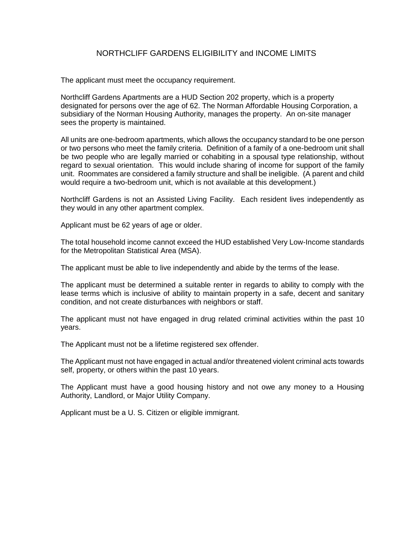## NORTHCLIFF GARDENS ELIGIBILITY and INCOME LIMITS

The applicant must meet the occupancy requirement.

Northcliff Gardens Apartments are a HUD Section 202 property, which is a property designated for persons over the age of 62. The Norman Affordable Housing Corporation, a subsidiary of the Norman Housing Authority, manages the property. An on-site manager sees the property is maintained.

All units are one-bedroom apartments, which allows the occupancy standard to be one person or two persons who meet the family criteria. Definition of a family of a one-bedroom unit shall be two people who are legally married or cohabiting in a spousal type relationship, without regard to sexual orientation. This would include sharing of income for support of the family unit. Roommates are considered a family structure and shall be ineligible. (A parent and child would require a two-bedroom unit, which is not available at this development.)

Northcliff Gardens is not an Assisted Living Facility. Each resident lives independently as they would in any other apartment complex.

Applicant must be 62 years of age or older.

The total household income cannot exceed the HUD established Very Low-Income standards for the Metropolitan Statistical Area (MSA).

The applicant must be able to live independently and abide by the terms of the lease.

The applicant must be determined a suitable renter in regards to ability to comply with the lease terms which is inclusive of ability to maintain property in a safe, decent and sanitary condition, and not create disturbances with neighbors or staff.

The applicant must not have engaged in drug related criminal activities within the past 10 years.

The Applicant must not be a lifetime registered sex offender.

The Applicant must not have engaged in actual and/or threatened violent criminal acts towards self, property, or others within the past 10 years.

The Applicant must have a good housing history and not owe any money to a Housing Authority, Landlord, or Major Utility Company.

Applicant must be a U. S. Citizen or eligible immigrant.